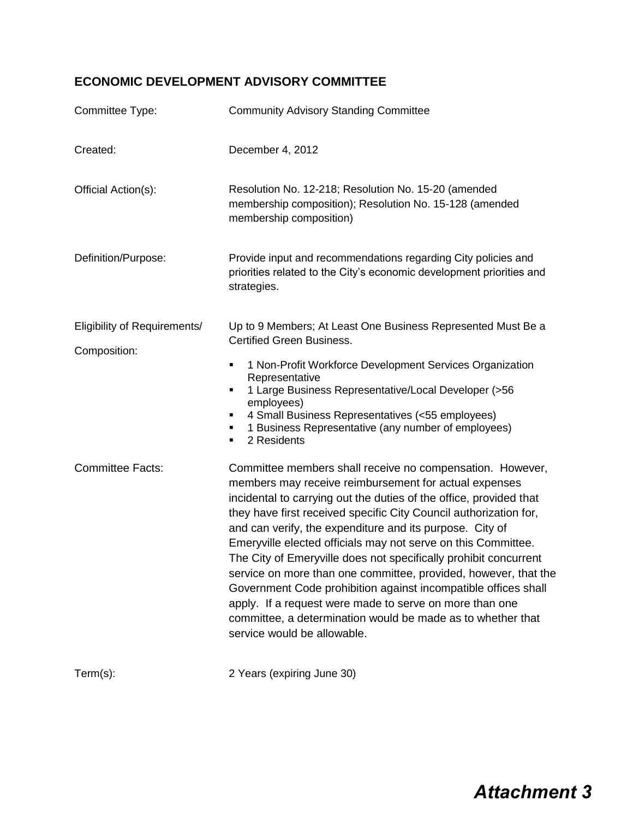## **ECONOMIC DEVELOPMENT ADVISORY COMMITTEE**

| Committee Type:                              | <b>Community Advisory Standing Committee</b>                                                                                                                                                                                                                                                                                                                                                                                                                                                                                                                                                                                                                                                                                                                 |  |  |
|----------------------------------------------|--------------------------------------------------------------------------------------------------------------------------------------------------------------------------------------------------------------------------------------------------------------------------------------------------------------------------------------------------------------------------------------------------------------------------------------------------------------------------------------------------------------------------------------------------------------------------------------------------------------------------------------------------------------------------------------------------------------------------------------------------------------|--|--|
| Created:                                     | December 4, 2012                                                                                                                                                                                                                                                                                                                                                                                                                                                                                                                                                                                                                                                                                                                                             |  |  |
| Official Action(s):                          | Resolution No. 12-218; Resolution No. 15-20 (amended<br>membership composition); Resolution No. 15-128 (amended<br>membership composition)                                                                                                                                                                                                                                                                                                                                                                                                                                                                                                                                                                                                                   |  |  |
| Definition/Purpose:                          | Provide input and recommendations regarding City policies and<br>priorities related to the City's economic development priorities and<br>strategies.                                                                                                                                                                                                                                                                                                                                                                                                                                                                                                                                                                                                         |  |  |
| Eligibility of Requirements/<br>Composition: | Up to 9 Members; At Least One Business Represented Must Be a<br><b>Certified Green Business.</b><br>1 Non-Profit Workforce Development Services Organization<br>٠<br>Representative<br>1 Large Business Representative/Local Developer (>56<br>٠<br>employees)<br>4 Small Business Representatives (<55 employees)<br>٠<br>1 Business Representative (any number of employees)<br>٠<br>2 Residents<br>٠                                                                                                                                                                                                                                                                                                                                                      |  |  |
| <b>Committee Facts:</b>                      | Committee members shall receive no compensation. However,<br>members may receive reimbursement for actual expenses<br>incidental to carrying out the duties of the office, provided that<br>they have first received specific City Council authorization for,<br>and can verify, the expenditure and its purpose. City of<br>Emeryville elected officials may not serve on this Committee.<br>The City of Emeryville does not specifically prohibit concurrent<br>service on more than one committee, provided, however, that the<br>Government Code prohibition against incompatible offices shall<br>apply. If a request were made to serve on more than one<br>committee, a determination would be made as to whether that<br>service would be allowable. |  |  |
| $Term(s)$ :                                  | 2 Years (expiring June 30)                                                                                                                                                                                                                                                                                                                                                                                                                                                                                                                                                                                                                                                                                                                                   |  |  |